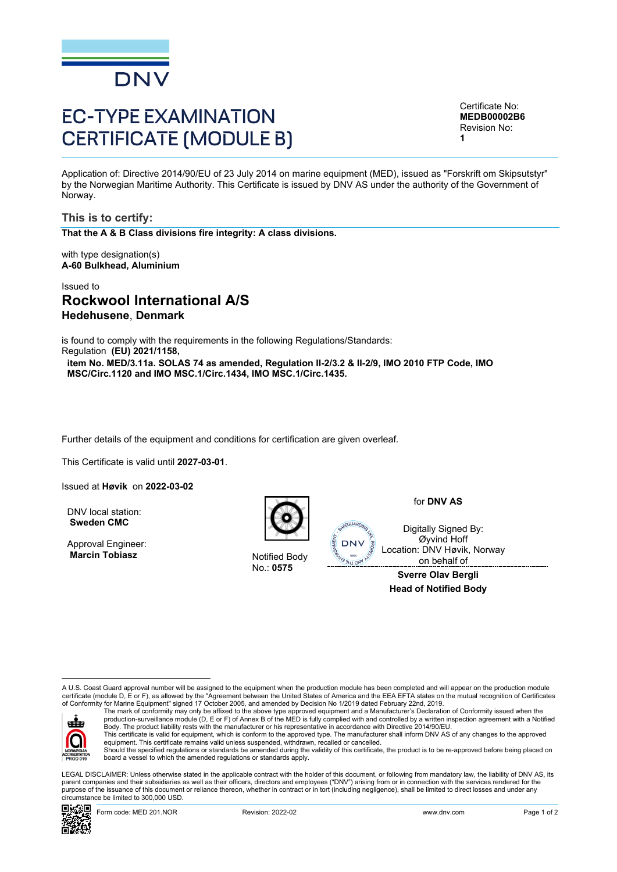

# EC-TYPE EXAMINATION CERTIFICATE (MODULE B)

<span id="page-0-3"></span><span id="page-0-2"></span><span id="page-0-1"></span>Certificate No: **MEDB00002B6** Revision No: **1**

<span id="page-0-0"></span>Application of: Directive 2014/90/EU of 23 July 2014 on marine equipment (MED), issued as "Forskrift om Skipsutstyr" by the Norwegian Maritime Authority. This Certificate is issued by DNV AS under the authority of the Government of Norway.

**This is to certify:**

**That the A & B Class divisions fire integrity: A class divisions.**

with type designation(s) **A-60 Bulkhead, Aluminium**

# Issued to **Rockwool International A/S Hedehusene**, **Denmark**

is found to comply with the requirements in the following Regulations/Standards: Regulation **(EU) 2021/1158,**

**item No. MED/3.11a. SOLAS 74 as amended, Regulation II-2/3.2 & II-2/9, IMO 2010 FTP Code, IMO MSC/Circ.1120 and IMO MSC.1/Circ.1434, IMO MSC.1/Circ.1435.**

Further details of the equipment and conditions for certification are given overleaf.

This Certificate is valid until **2027-03-01**.

Issued at **Høvik** on **2022-03-02**

DNV local station: **Sweden CMC**

Approval Engineer: **Marcin Tobiasz Notified Body** 



No.: **0575**

for **DNV AS**

Digitally Signed By: Øyvind Hoff Location: DNV Høvik, Norway on behalf of

**Sverre Olav Bergli Head of Notified Body**

A U.S. Coast Guard approval number will be assigned to the equipment when the production module has been completed and will appear on the production module<br>certificate (module D, E or F), as allowed by the "Agreement betwe of Conformity for Marine Equipment" signed 17 October 2005, and amended by Decision No 1/2019 dated February 22nd, 2019.



The mark of conformity may only be affixed to the above type approved equipment and a Manufacturer's Declaration of Conformity issued when the<br>production-surveillance module (D, E or F) of Annex B of the MED is fully compl Body. The product liability rests with the manufacturer or his representative in accordance with Directive 2014/90/EU. This certificate is valid for equipment, which is conform to the approved type. The manufacturer shall inform DNV AS of any changes to the approved<br>equipment. This certificate remains valid unless suspended, withdrawn, rec

Should the specified regulations or standards be amended during the validity of this certificate, the product is to be re-approved before being placed on board a vessel to which the amended regulations or standards apply.

 LEGAL DISCLAIMER: Unless otherwise stated in the applicable contract with the holder of this document, or following from mandatory law, the liability of DNV AS, its parent companies and their subsidiaries as well as their officers, directors and employees ("DNV") arising from or in connection with the services rendered for the purpose of the issuance of this document or reliance thereon, whether in contract or in tort (including negligence), shall be limited to direct losses and under any circumstance be limited to 300,000 USD.